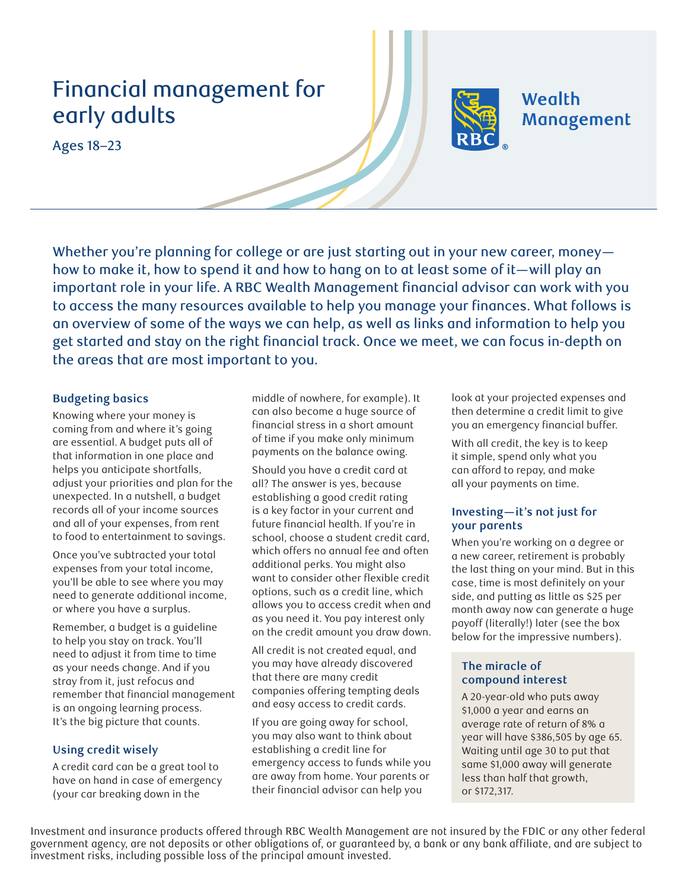# Financial management for early adults

Ages 18–23



#### **Budgeting basics**

Knowing where your money is coming from and where it's going are essential. A budget puts all of that information in one place and helps you anticipate shortfalls, adjust your priorities and plan for the unexpected. In a nutshell, a budget records all of your income sources and all of your expenses, from rent to food to entertainment to savings.

Once you've subtracted your total expenses from your total income, you'll be able to see where you may need to generate additional income, or where you have a surplus.

Remember, a budget is a guideline to help you stay on track. You'll need to adjust it from time to time as your needs change. And if you stray from it, just refocus and remember that financial management is an ongoing learning process. It's the big picture that counts.

#### **Using credit wisely**

A credit card can be a great tool to have on hand in case of emergency (your car breaking down in the

middle of nowhere, for example). It can also become a huge source of financial stress in a short amount of time if you make only minimum payments on the balance owing.

Should you have a credit card at all? The answer is yes, because establishing a good credit rating is a key factor in your current and future financial health. If you're in school, choose a student credit card, which offers no annual fee and often additional perks. You might also want to consider other flexible credit options, such as a credit line, which allows you to access credit when and as you need it. You pay interest only on the credit amount you draw down.

All credit is not created equal, and you may have already discovered that there are many credit companies offering tempting deals and easy access to credit cards.

If you are going away for school, you may also want to think about establishing a credit line for emergency access to funds while you are away from home. Your parents or their financial advisor can help you

look at your projected expenses and then determine a credit limit to give you an emergency financial buffer.

**Wealth** 

Management

With all credit, the key is to keep it simple, spend only what you can afford to repay, and make all your payments on time.

#### **Investing—it's not just for your parents**

When you're working on a degree or a new career, retirement is probably the last thing on your mind. But in this case, time is most definitely on your side, and putting as little as \$25 per month away now can generate a huge payoff (literally!) later (see the box below for the impressive numbers).

## **The miracle of compound interest**

A 20-year-old who puts away \$1,000 a year and earns an average rate of return of 8% a year will have \$386,505 by age 65. Waiting until age 30 to put that same \$1,000 away will generate less than half that growth, or \$172,317.

Investment and insurance products offered through RBC Wealth Management are not insured by the FDIC or any other federal government agency, are not deposits or other obligations of, or guaranteed by, a bank or any bank affiliate, and are subject to investment risks, including possible loss of the principal amount invested.